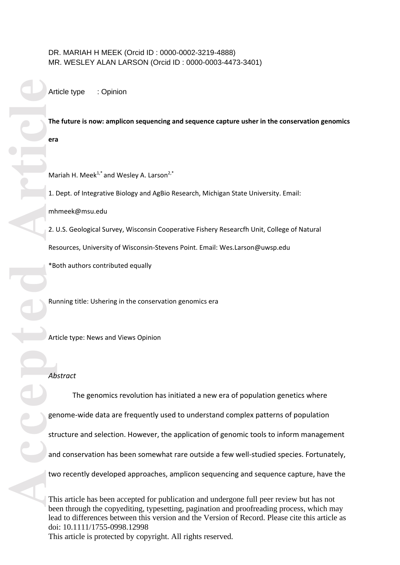# DR. MARIAH H MEEK (Orcid ID : 0000 -0002 -3219 -4888) MR. WESLEY ALAN LARSON (Orcid ID : 0000 -0003 -4473 -3401)

Article type : Opinion

**The future is now: amplicon sequencing and sequence capture usher in the conservation genomics era**

Mariah H. Meek<sup>1,\*</sup> and Wesley A. Larson<sup>2,\*</sup>

1. Dept. of Integrative Biology and AgBio Research, Michigan State University. Email:

mhmeek@msu.edu

2. U.S. Geological Survey, Wisconsin Cooperative Fishery Researc fh Unit, College of Natural

Resources, University of Wisconsin -Stevens Point. Email: Wes.Larson@uwsp.edu

\*Both authors contributed equally

Running title: Ushering in the conservation genomics era

Article type: News and Views Opinion

## *Abstract*

Article<br> **Article**<br> **Article**<br> **Article**<br> **Article**<br> **Article**<br> **Article**<br> **Article**<br> **Article**<br> **Article**<br> **Article**<br> **Article** The genomics revolution has initiated a new era of population genetics where genome -wide data are frequently used to understand complex patterns of population structure and selection. However, the application of genomic tools to inform management and conservation has been somewhat rare outside a few well -studied species. Fortunately, two recently developed approaches, amplicon sequencing and sequence capture, have the

This article has been accepted for publication and undergone full peer review but has not been through the copyediting, typesetting, pagination and proofreading process, which may lead to differences between this version and the Version of Record. Please cite this article as doi: 10.1111/1755 -0998.12998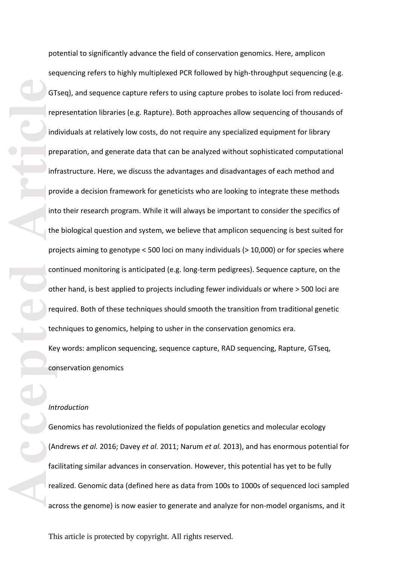**Accepted Article**<br> **Article**<br> **Article**<br> **Article**<br> **Article**<br> **Article**<br> **Article**<br> **Article**<br> **Article** potential to significantly advance the field of conservation genomics. Here, amplicon sequencing refers to highly multiplexed PCR followed by high -throughput sequencing (e.g. GTseq) , and sequence capture refers to using capture probes to isolate loci from reduced representation libraries (e.g. Rapture) . Both approaches allow sequencing of thousands of individuals at relatively low costs, do not require any specialized equipment for library preparation, and generate data that can be analyzed without sophisticated computational infrastructure. Here, we discuss the advantages and disadvantages of each method and provide a decision framework for geneticists who are looking to integrate these methods into their research program. While it will always be important to consider the specifics of the biological question and system, we believe that amplicon sequencing is best suited for projects aiming to genotype < 500 loci on many individuals (> 10,000) or for species where continued monitoring is anticipated (e.g. long -term pedigrees). Sequence capture, on the other hand, is best applied to projects including fewer individuals or where > 500 loci are required. Both of these techniques should smooth the transition from traditional genetic techniques to genomics, helping to usher in the conservation genomics era . Key words: amplicon sequencing, sequence capture, RAD sequencing, Rapture, GTseq,

## *Introduction*

conservation genomics

Genomics has revolutionized the fields of population genetics and molecular ecology (Andrews *et al.* 2016; Davey *et al.* 2011; Narum *et al.* 2013) , and has enormous potential for facilitating similar advances in conservation. However, this potential has yet to be fully realized. Genomic data (defined here as data from 100s to 1000s of sequenced loci sample d across the genome) is now easier to generate and analyze for non-model organisms, and it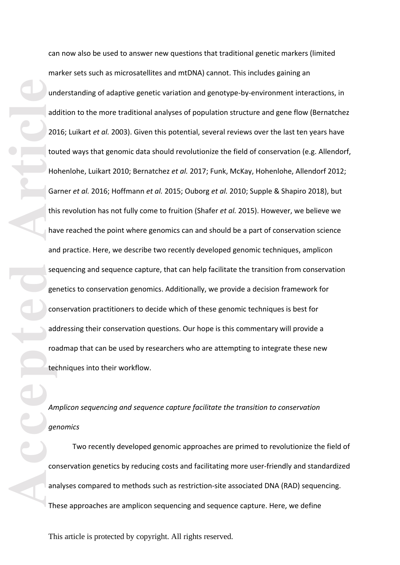**Accepted Articles Article**<br> **Article**<br> **Articles Articles Articles Articles Articles Articles Articles Articles Articles Articles Articles Articles Articles Articles Articles Articles A** can now also be used to answer new questions that traditional genetic markers (limited marker sets such as microsatellites and mtDNA) cannot. This includes gaining an understanding of adaptive genetic variation and genotype -by -environment interactions, in addition to the more traditional analyses of population structure and gene flow (Bernatchez 2016; Luikart *et al.* 2003). Given this potential, several reviews over the last ten years have touted ways that genomic data should revolutionize the field of conservation (e.g. Allendorf, Hohenlohe, Luikart 2010; Bernatchez *et al.* 2017; Funk, McKay, Hohenlohe, Allendorf 2012; Garner *et al.* 2016; Hoffmann *et al.* 2015; Ouborg *et al.* 2010; Supple & Shapiro 2018), but this revolution has not fully come to fruition (Shafer *et al.* 2015). However, we believe we have reached the point where genomics can and should be a part of conservation science and practice. Here, we describe two recently developed genomic techniques, amplicon sequencing and sequence capture, that can help facilitate the transition from conservation genetics to conservation genomics . Additionally, we provide a decision framework for conservation practitioners to decide which of these genomic technique s is best for addressing their conservation questions. Our hope is this commentary will provide a roadmap that can be used by researchers who are attempting to integrate these new techniques into their workflow .

# *Amplicon sequencing and sequence capture facilitate the transition to conservation genomics*

Two recently developed genomic approaches are primed to revolutionize the field of conservation genetics by reducing costs and facilitating more user -friendly and standardized analyses compared to methods such as restriction -site associated DNA (RAD) sequencing. These approaches are amplicon sequencing and sequence capture. Here, we define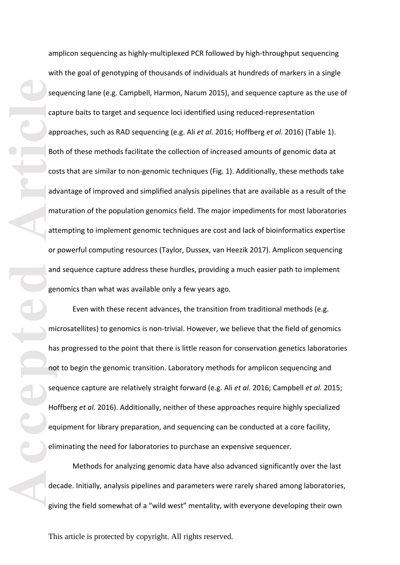**Accepted Article**<br> **Article**<br> **Article**<br> **Article**<br> **Article**<br> **Article**<br> **Article**<br> **Article**<br> **Article**<br> **Article**<br> **Article**<br> **Article**<br> **Article**<br> **Article**<br> **Article**<br> **Article**<br> **Article**<br> **Article**<br> **Article**<br> **A** amplicon sequencing as highly-multiplexed PCR followed by high<br>with the goal of genotyping of thousands of individuals at hundre<br>sequencing lane (e.g. Campbell, Harmon, Narum 2015), and sequencing lane (e.g. Campbell, Harm amplicon sequencing as highly-multiplexed PCR followed by high-throughput sequencing with the goal of genotyping of thousands of individuals at hundreds of markers in a single sequencing lane (e.g. Campbell, Harmon, Narum 2015), and sequence capture as the use of capture baits to target and sequence loci identified using reduced -representation approaches, such as RAD sequencing (e.g. Ali *et al.* 2016; Hoffberg *et al.* 2016) (Table 1) . Both of these methods facilitate the collection of increased amounts of genomic data at costs that are similar to non-genomic techniques (Fig. 1). Additionally, these methods take advantage of improved and simplified analysis pipelines that are available as a result of the maturation of the population genomics field. The major impediments for most laboratories attempting to implement genomic techniques are cost and lack of bioinformatics expertise or powerful computing resources (Taylor, Dussex, van Heezik 2017). Amplicon sequencing and sequence capture address these hurdles, providing a much easier path to implement genomics than what was available only a few years ago.

Even with these recent advances, the transition from traditional methods (e.g. microsatellites) to genomics is non -trivial. However, we believe that the field of genomics has progressed to the point that there is little reason for conservation genetics laboratories not to begin the genomic transition. Laboratory methods for amplicon sequencing and sequence capture are relatively straight forward (e.g. Ali *et al.* 2016; Campbell *et al.* 2015; Hoffberg *et al.* 2016). Additionally, neither of these approaches require highly specialized equipment for library preparation, and sequencing can be conducted at a core facility, eliminating the need for laboratories to purchase an expensive sequencer.

Methods for analyzing genomic data have also advanced significantly over the last decade. Initially, analysis pipelines and parameters were rarely shared among laboratories, giving the field somewhat of a "wild west" mentality, with everyone developing their own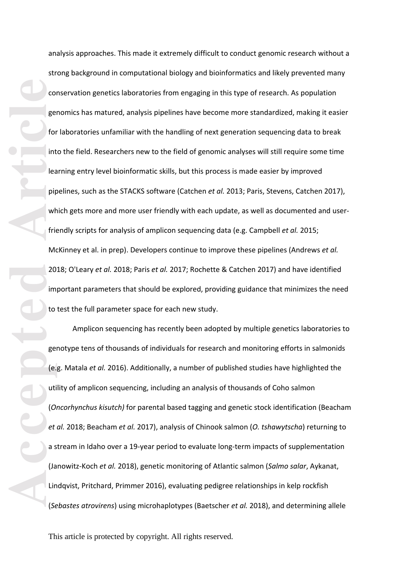**Co**<br> **Accepted Article**<br> **Article**<br> **Article**<br> **Article**<br> **Article**<br> **Article**<br> **Article**<br> **Article**<br> **Article**<br> **Article**<br> **Article**<br> **Article**<br> **Article**<br> **Article**<br> **Article**<br> **Article**<br> **Article**<br> **Article**<br> **Articl** analysis approaches. This made it extremely difficult to conduct genomic research without a strong background in computational biology and bioinformatics and likely prevented many conservation genetics laboratories from engaging in this type of research. As population genomics has matured, analysis pipelines have become more standardized, making it easier for laboratories unfamiliar with the handling of next generation sequencing data to break into the field. Researchers new to the field of genomic analyses will still require some time learning entry level bioinformatic skills, but this process is made easier by improved pipelines, such as the STACKS software (Catchen *et al.* 2013; Paris, Stevens, Catchen 2017), which gets more and more user friendly with each update, as well as documented and user friendly scripts for analysis of amplicon sequencing data (e.g. Campbell *et al.* 2015; McKinney et al. in prep). Developers continue to improve these pipelines (Andrews *et al.* 2018; O'Leary *et al.* 2018; Paris *et al.* 2017; Rochette & Catchen 2017) and have identified important parameters that should be explored, providing guidance that minimizes the need to test the full parameter space for each new study.

Amplicon sequencing has recently been adopted by multiple genetics laboratories to genotype tens of thousands of individuals for research and monitoring efforts in salmonids (e.g. Matala et al. 2016). Additionally, a number of published studies have highlighted the utility of amplicon sequencing , including an analysis of thousands of Coho salmon (*Oncorhynchus kisutch)* for parental based tagging and genetic stock identification (Beacham *et al.* 2018; Beacham *et al.* 2017), analysis of Chinook salmon (*O. tshawytscha* ) returning to a stream in Idaho over a 19-year period to evaluate long-term impacts of supplementation (Janowitz -Koch *et al.* 2018) , genetic monitoring of Atlantic salmon (*Salmo salar*, Aykanat, Lindqvist, Pritchard, Primmer 2016), evaluating pedigree relationships in kelp rockfish (*Sebastes atrovirens*) using microhaplotypes (Baetscher *et al.* 2018), and determining allele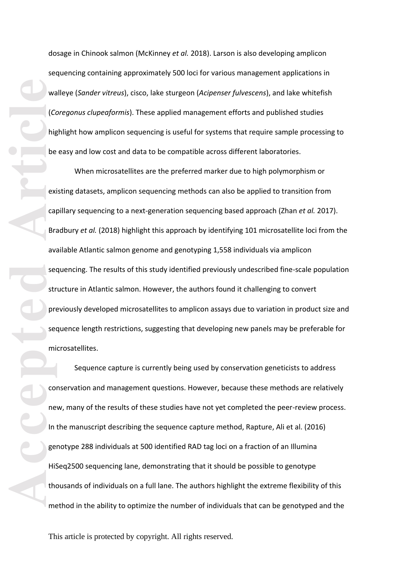dosage in Chinook salmon (McKinney *et al.* 2018) . Larson is also developing amplicon sequencing containing approximately 500 loci for various management applications in walleye (*Sander vitreus*), cisco, lake sturgeon (*Acipenser fulvescens* ), and lake whitefish (*Coregonus clupeaformis*). These applied management efforts and published studies highlight how amplicon sequencing is useful for systems that require sample processing to be easy and low cost and data to be compatible across different laboratories .

**Accepted**<br> **Accepted**<br> **Article**<br> **Article**<br> **Article**<br> **Article**<br> **Article**<br> **Article**<br> **Article**<br> **Article**<br> **Article**<br> **Article**<br> **Article**<br> **Article**<br> **Article**<br> **Article**<br> **Article**<br> **Article**<br> **Article**<br> **Article**<br> When microsatellites are the preferred marker due to high polymorphism or existing datasets, amplicon sequencing methods can also be applied to transition from capillary sequencing to a next-generation sequencing based approach (Zhan et al. 2017). Bradbury *et al.* (2018) highlight this approach by identifying 101 microsatellite loci from the available Atlantic salmon genome and genotyping 1 ,558 individuals via amplicon sequencing. The results of this study identified previously undescribed fine -scale population structure in Atlantic salmon. However, the authors found it challenging to convert previously developed microsatellites to amplicon assays due to variation in product size and sequence length restrictions, suggesting that developing new panels may be preferable for microsatellites .

Sequence capture is currently being used by conservation geneticists to address conservation and management questions. However, because these methods are relatively new, many of the results of these studies have not yet completed the peer -review process. In the manuscript describing the sequence capture method, Rapture, Ali et al. (2016) genotype 288 individuals at 500 identified RAD tag loci on a fraction of an Illumina HiSeq2500 sequencing lane, demonstrating that it should be possible to genotype thousands of individuals on a full lane. The authors highlight the extreme flexibility of this method in the ability to optimize the number of individuals that can be genotyped and the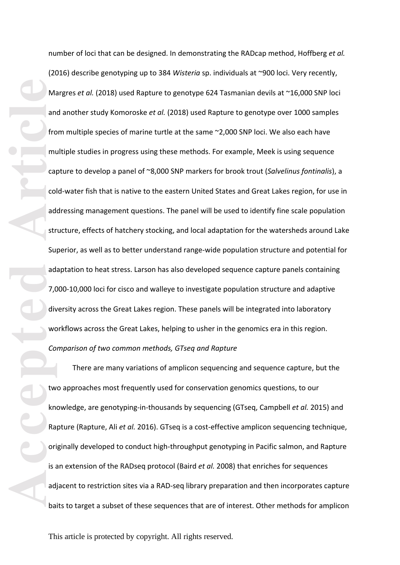Macconsole<br>
Articlean Article<br>
Article<br>
Article<br>
Article<br>
Article<br>
Article<br>
Article<br>
Article<br>
Article<br>
Article<br>
Article<br>
Article<br>
Article<br>
Article<br>
Article<br>
Article<br>
Article<br>
Article<br>
Article<br>
Article<br>
Article<br>
Article<br>
Ar number of loci that can be designed. In demonstrating the RADcap method, Hoffberg *et al.* (2016) describe genotyping up to 384 *Wisteria* sp. individuals at ~900 loci. Very recently , Margres *et al.* (2018) used Rapture to genotype 624 Tasmanian devils at ~16,000 SNP loci and another study Komoroske *et al.* (2018) used Rapture to genotype over 1000 samples from multiple species of marine turtle at the same ~2,000 SNP loci. We also each have multiple studies in progress using these methods. For example, Meek is using sequence capture to develop a panel of ~8,000 SNP markers for brook trout (*Salvelinus fontinalis*), a cold -water fish that is native to the eastern United States and Great Lakes region, for use in addressing management questions. The panel will be used to identify fine scale population structure, effects of hatchery stocking, and local adaptation for the watersheds around Lake Superior, as well as to better understand range -wide population structure and potential for adaptation to heat stress. Larson has also developed sequence capture panel s containing 7,000 -10,000 loci for cisco and walleye to investigate population structure and adaptive diversity across the Great Lakes region. These panels will be integrated into laboratory workflows across the Great Lakes, helping to usher in the genomics era in this region. *Comparison of two common methods, GTseq and Rapture*

There are many variations of amplicon sequencing and sequence capture , but the two approaches most frequently used for conservation genomics questions, to our knowledge, are genotyping-in-thousands by sequencing (GTseq, Campbell *et al.* 2015) and Rapture (Rapture, Ali *et al.* 2016). GTseq is a cost -effective amplicon sequencing technique, originally developed to conduct high -throughput genotyping in Pacific salmon, and Rapture is an extension of the RADseq protocol (Baird *et al.* 2008) that enriches for sequences adjacent to restriction sites via a RAD-seq library preparation and then incorporates capture baits to target a subset of these sequences that are of interest. Other methods for amplicon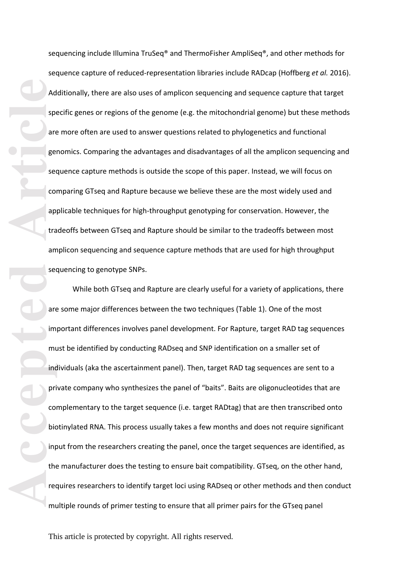sequencing include Illumina TruSeq® and ThermoFisher AmpliSeq®, and other methods for sequence capture of reduced-representation libraries include RADcap (Hoffberg et al. 2016). Additionally, there are also uses of amplicon sequencing and sequence capture that target specific genes or regions of the genome (e.g. the mitochondrial genome) but these methods are more often are used to answer questions related to phylogenetics and functional genomics. Comparing the advantages and disadvantages of all the amplicon sequencing and sequence capture methods is outside the scope of this paper. Instead, we will focus on comparing GTseq and Rapture because we believe these are the most widely used and applicable techniques for high-throughput genotyping for conservation. However, the tradeoffs between GTseq and Rapture should be similar to the tradeoffs between most amplicon sequencing and sequence capture methods that are used for high throughput sequencing to genotype SNPs .

**Ad**<br>
spectrum<br>
article<br>
article<br>
article<br>
article<br>
article<br>
article<br> **Ad**<br>
spectrum<br>
article<br>
article<br>
article<br>
article<br>
article<br>
article<br>
article<br>
article<br>
bidic<br>
bidic<br>
bidic<br>
bidic<br>  $\frac{1}{2}$ <br>
bidic<br>  $\frac{1}{2}$ <br>
bidic<br> While both GTseq and Rapture are clearly useful for a variety of applications, there are some major differences between the two techniques (Table 1). One of the most important differences involves panel development. For Rapture, target RAD tag sequences must be identified by conducting RADseq and SNP identification on a smaller set of individuals (aka the ascertainment panel). Then, target RAD tag sequences are sent to a private company who synthesizes the panel of "baits". Baits are oligonucleotides that are complementary to the target sequence (i.e. target RADtag ) that are then transcribed onto biotinylated RNA. This process usually takes a few months and does not require significant input from the researchers creating the panel, once the target sequences are identified, as the manufacturer does the testing to ensure bait compatibility. GTseq, on the other hand, requires researchers to identify target loci using RADseq or other methods and then conduct multiple rounds of primer testing to ensure that all primer pairs for the GTseq panel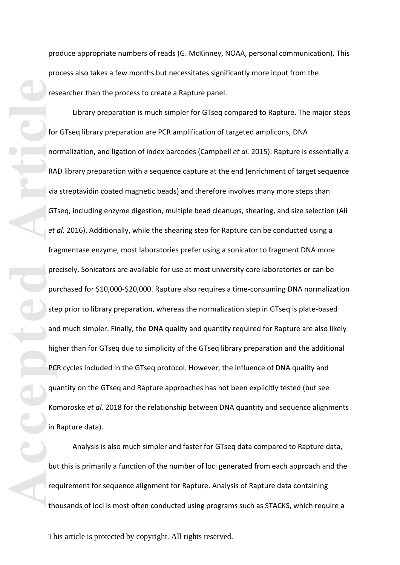produce appropriate numbers of reads (G. McKinney, NOAA, personal communication ). This process also takes a few months but necessitates significantly more input from the researcher than the process to create a Rapture panel.<br>Library preparation is much simpler for GTseq compared to Rapture. The major steps

**Accepted Article**<br> **Article**<br> **Article**<br> **Article**<br> **Article**<br> **Article**<br> **Article**<br> **Article**<br> **Article**<br> **Article**<br> **Article**<br> **Article**<br> **Article**<br> **Article**<br> **Article**<br> **Article**<br> **Article**<br> **Article**<br> **Article**<br> **A** for GTseq library preparation are PCR amplification of targeted amplicons, DNA normalization, and ligation of index barcodes (Campbell *et al.* 2015). Rapture is essentially a RAD library preparation with a sequence capture at the end (enrichment of target sequence via streptavidin coated magnetic beads) and therefore involves many more steps than<br>GTseq, including enzyme digestion, multiple bead cleanups, shearing, and size selection (Ali *et al.* 2016). Additionally, while the shearing step for Rapture can be conducted using a fragmentase enzyme, most laboratories prefer using a sonicator to fragment DNA more precisely. Sonicators are available for use at most university core laboratories or can be purchased for \$10,000 -\$20,000. Rapture also requires a time -consuming DNA normalization step prior to library preparation, whereas the normalization step in GTseq is plate -based and much simpler. Finally, the DNA quality and quantity required for Rapture are also likely higher than for GTseq due to simplicity of the GTseq library preparation and the additional PCR cycles included in the GTseq protocol. However, the influence of DNA quality and quantity on the GTseq and Rapture approaches has not been explicitly tested (but see Komoroske *et al.* 2018 for the relationship between DNA quantity and sequence alignments in Rapture data).

Analysis is also much simpler and faster for GTseq data compared to Rapture data , but this is primarily a function of the number of loci generated from each approach and the requirement for sequence alignment for Rapture . Analysis of Rapture data containing thousands of loci is most often conducted using program s such as STACKS , which require a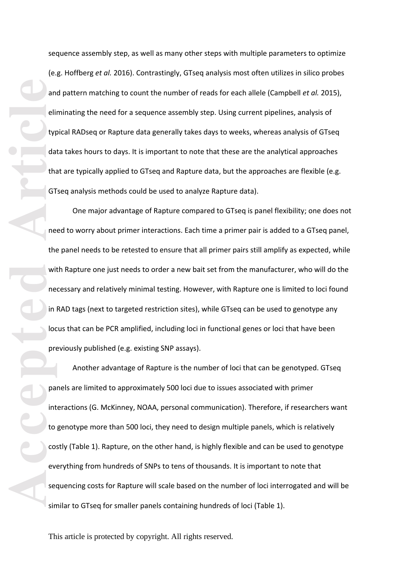sequence assembly step, as well as many other steps with multiple parameters to optimize (e.g. Hoffberg *et al.* 2016). Contrastingly, GTseq analysis most often utilizes in silico probes and pattern matching to count the number of reads for each allele (Campbell *et al.* 2015), eliminating the need for a sequence assembly step. Using current pipelines, analysis of typical RADseq or Rapture data generally takes days to weeks, whereas analysis of GTseq data takes hours to days. It is important to note that these are the analytical approaches that are typically applied to GTseq and Rapture data , but the approaches are flexible (e.g. GTseq analysis methods could be used to analyze Rapture data).

an elin type dan the street of the the street of the the street of the the street of the the street of the street of the street of the street of the street of the street of the street of the street of the street of the str One major advantage of Rapture compared to GTseq is panel flexibility ; one does not need to worry about primer interactions. Each time a primer pair is added to a GTseq panel, the panel needs to be retested to ensure that all primer pairs still amplify as expected, while with Rapture one just needs to order a new bait set from the manufacturer, who will do the necessary and relatively minimal testing. However, with Rapture one is limited to loci found in RAD tags (next to targeted restriction sites), while GTseq can be used to genotype any locus that can be PCR amplified, including loci in functional genes or loci that have been previously published (e.g. existing SNP assays).

Another advantage of Rapture is the number of loci that can be genotyped. GTseq panels are limited to approximately 500 loci due to issues associated with primer interactions (G. McKinney, NOAA, personal communication). Therefore, if researchers want to genotype more than 500 loci, they need to design multiple panels, which is relatively costly (Table 1). Rapture, on the other hand, is highly flexible and can be used to genotype everything from hundreds of SNPs to tens of thousands. It is important to note that<br>sequencing costs for Rapture will scale based on the number of loci interrogated and will be similar to GTseq for smaller panels containing hundreds of loci (Table 1).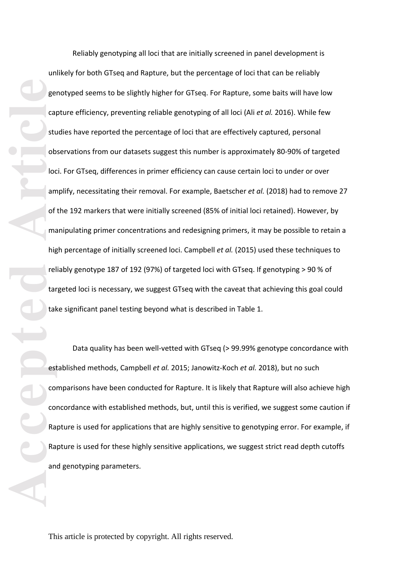**Accepted Article**<br> **Article**<br> **Article**<br> **Article**<br> **Article**<br> **Article**<br> **Article**<br> **Article**<br> **Article**<br> **Article**<br> **Article**<br> **Article**<br> **Article**<br> **Article**<br> **Article**<br> **Article**<br> **Article**<br> **Article** Reliably genotyping all loci that are initially screened in panel development is unlikely for both GTseq and Rapture, but the percentage of loci that can be reliably genotyped seems to be slightly higher for GTseq. For Rapture, some baits will have low capture efficiency, preventing reliable genotyping of all loci (Ali *et al.* 2016). While few studies have reported the percentage of loci that are effectively captured, personal observations from our datasets suggest this number is approximately 80 -90% of targeted loci. For GTseq, differences in primer efficiency can cause certain loci to under or over amplify, necessitating their removal. For example, Baetscher *et al.* (2018) had to remove 27 of the 192 markers that were initially screened (85% of initial loci retained). However, by manipulating primer concentrations and redesigning primers, it may be possible to retain a high percentage of initially screened loci. Campbell *et al.* (2015) used these techniques to reliably genotype 187 of 192 (97%) of targeted loci with GTseq. If genotyping > 90 % of targeted loci is necessary, we suggest GTseq with the caveat that achieving this goal could take significant panel testing beyond what is described in Table 1.

Data quality has been well-vetted with GTseq (> 99.99% genotype concordance with established methods, Campbell *et al.* 2015; Janowitz -Koch *et al.* 2018), but no such comparisons have been conducted for Rapture. It is likely that Rapture will also achieve high concordance with established methods, but, until this is verified, we suggest some caution if Rapture is used for applications that are highly sensitive to genotyping error. For example, if Rapture is used for these highly sensitive applications, we suggest strict read depth cutoffs and genotyping parameters.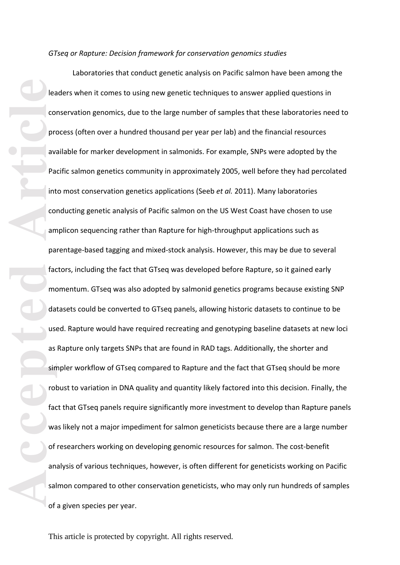*GTseq or Rapture: Decision framework for conservation genomics studies*

**Accepted Article**<br> **Article**<br> **Article**<br> **Article**<br> **Article**<br> **Article**<br> **Article**<br> **Article**<br> **Article**<br> **Article**<br> **Article**<br> **Article**<br> **Article**<br> **Article**<br> **Article**<br> **Article**<br> **Article**<br> **Article**<br> **Article**<br> **A** Laboratories that conduct genetic analysis on Pacific salmon have been among the leaders when it comes to using new genetic techniques to answer applied questions in conservation genomics, due to the large number of samples that these laboratories need to process (often over a hundred thousand per year per lab ) and the financial resources available for marker development in salmonids. For example, SNPs were adopted by the Pacific salmon genetics community in approximately 2005, well before they had percolated into most conservation genetics applications (Seeb *et al.* 2011). Many laboratories conducting genetic analysis of Pacific salmon on the US West Coast have chosen to use amplicon sequencing rather than Rapture for high -throughput applications such as parentage-based tagging and mixed-stock analysis. However, this may be due to several factors, including the fact that GTseq was developed before Rapture, so it gained early momentum. GTseq was also adopted by salmonid genetics programs because existing SNP datasets could be converted to GTseq panels, allowing historic datasets to continue to be used. Rapture would have required recreating and genotyping baseline datasets at new loci as Rapture only targets SNPs that are found in RAD tags. Additionally, the shorter and simpler workflow of GTseq compared to Rapture and the fact that GTseq should be more robust to variation in DNA quality and quantity likely factored into this decision. Finally, the fact that GTseq panels require significantly more investment to develop than Rapture panels was likely not a major impediment for salmon geneticists because there are a large number of researchers working on developing genomic resources for salmon. The cost -benefit analysis of various techniques, however, is often different for geneticists working on Pacific salmon compared to other conservation geneticists, who may only run hundreds of samples of a given species per year.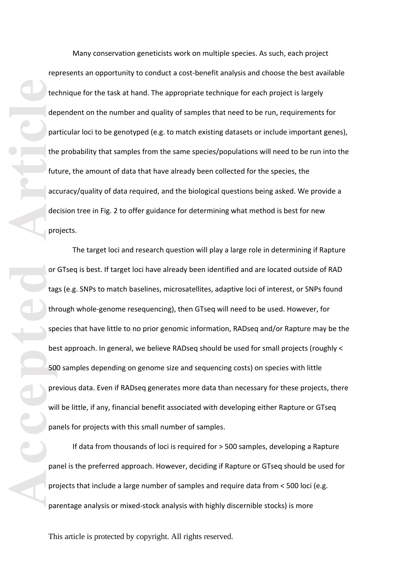Many conservation geneticists work on multiple species. As such, each project represents an opportunity to conduct a cost -benefit analysis and choose the best available technique for the task at hand. The appropriate technique for each project is largely dependent on the number and quality of samples that need to be run, requirements for particular loci to be genotyped (e.g. to match existing datasets or include important genes), the probability that samples from the same species/populations will need to be run into the future, the amount of data that have already been collected for the species, the accuracy/quality of data required, and the biological questions being asked. We provide a decision tree in Fig. 2 to offer guidance for determining what method is best for new projects.

**Accession**<br> **Accession**<br> **Article**<br> **Article**<br> **Article**<br> **Article**<br> **Article**<br> **Article**<br> **Article**<br> **Article**<br> **Article**<br> **Article**<br> **Article**<br> **Article**<br> **Article**<br> **Article**<br> **Article**<br> **Article**<br> **Article**<br> **Article** The target loci and research question will play a large role in determining if Rapture or GTseq is best. If target loci have already been identified and are located outside of RAD tags (e.g. SNPs to match baselines, microsatellites, adaptive loci of interest, or SNPs found through whole -genome resequencing), then G Tseq will need to be used. However, for species that have little to no prior genomic information, RADseq and/or Rapture may be the best approach. In general, we believe RADseq should be used for small projects (roughly < 500 samples depending on genome size and sequencing costs) on species with little previous data. Even if RADseq generates more data than necessary for these projects, there will be little, if any, financial benefit associated with developing either Rapture or GTseq panels for projects with this small number of samples.

If data from thousands of loci is required for > 500 samples, developing a Rapture panel is the preferred approach. However, deciding if Rapture or GTseq should be used for projects that include a large number of samples and require data from < 500 loci (e.g. parentage analysis or mixed-stock analysis with highly discernible stocks) is more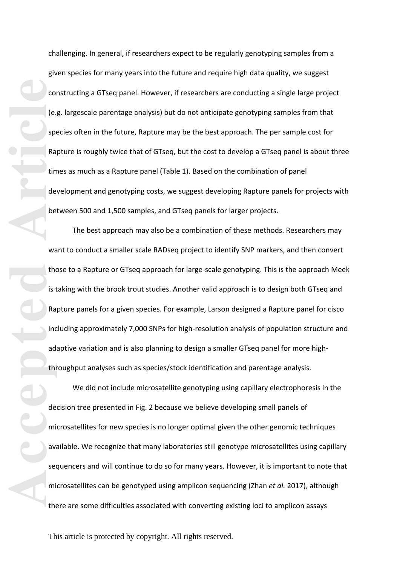challenging. In general, if researchers expect to be regularly genotyping samples from a given species for many years into the future and require high data quality, we suggest constructing a GTseq panel. However, if researchers are conducting a single large project (e.g. largescale parentage analysis) but do not anticipate genotyping samples from that species often in the future, Rapture may be the best approach . The per sample cost for Rapture is roughly twice that of GTseq, but the cost to develop a GTseq panel is about three times as much as a Rapture panel (Table 1). Based on the combination of panel development and genotyping costs, we suggest developing Rapture panels for projects with between 500 and 1,500 samples, and GTseq panels for larger projects.

The best approach may also be a combination of these methods. Researchers may want to conduct a smaller scale RADseq project to identify SNP markers, and then convert those to a Rapture or GTseq approach for large -scale genotyping. This is the approach Meek is taking with the brook trout studies. Another valid approach is to design both GTseq and Rapture panels for a given species. For example, Larson designed a Rapture panel for cisco including approximately 7,000 SNPs for high -resolution analysis of population structure and adaptive variation and is also planning to design a smaller GTseq panel for more high throughput analyses such as species/stock identification and parentage analysis.

**Co**<br> **Accepted**<br> **Accepted**<br> **Article**<br> **Article**<br> **Article**<br> **Article**<br> **Article**<br> **Article**<br> **Article**<br> **Article**<br> **Article**<br> **Article**<br> **Article**<br> **Article**<br> **Article**<br> **Article**<br> **Article**<br> **Article**<br> **Article**<br> **Arti** We did not include microsatellite genotyping using capillary electrophoresis in the decision tree presented in Fig. 2 because we believe developing small panels of microsatellites for new species is no longer optimal given the other genomic techniques available. We recognize that many laboratories still genotype microsatellites using capillary sequencers and will continue to do so for many years. However, it is important to note that microsatellites can be genotyped using amplicon sequencing (Zhan *et al.* 2017), although there are some difficulties associated with converting existing loci to amplicon assays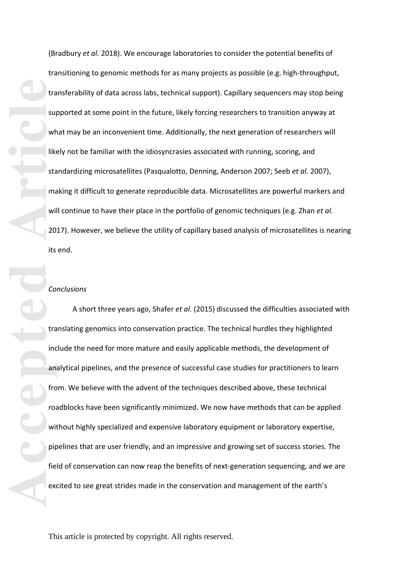(Bradbury *et al.* 2018). We encourage laboratories to consider the potential benefits of transitioning to genomic methods for as many projects as possible (e.g. high -throughput, transferability of data across labs, technical support). Capillary sequencers may stop being supported at some point in the future, likely forcing researchers to transition anyway at what may be an inconvenient time. Additionally, the next generation of researchers will likely not be familiar with the idiosyncrasies associated with running, scoring, and standardizing microsatellites (Pasqualotto, Denning, Anderson 2007; Seeb *et al.* 2007), making it difficult to generate reproducible data. Microsatellites are powerful markers and will continue to have their place in the portfolio of genomic techniques (e.g. Zhan *et al.* 2017). However, we believe the utility of capillary based analysis of microsatellites is nearing<br>its end.

## *Conclusions*

**Accepted Article**<br> **Article**<br> **Article**<br> **Article**<br> **Article**<br> **Article**<br> **Article**<br> **Article**<br> **Article**<br> **Article**<br> **Article**<br> **Article**<br> **Article**<br> **Article**<br> **Article**<br> **Article**<br> **Article**<br> **Article**<br> **Article**<br> **A** A short three years ago, Shafer *et al.* (2015) discussed the difficulties associated with translating genomics into conservation practice. The technical hurdles they highlighted include the need for more mature and easily applicable methods, the development of analytical pipelines, and the presence of successful case studies for practitioners to learn from. We believe with the advent of the techniques described above, these technical roadblocks have been significantly minimized. We now have methods that can be applied without highly specialized and expensive laboratory equipment or laboratory expertise, pipelines that are user friendly, and an impressive and growing set of success stories. The field of conservation can now reap the benefits of next -generation sequencing , and we are excited to see great strides made in the conservation and management of the earth's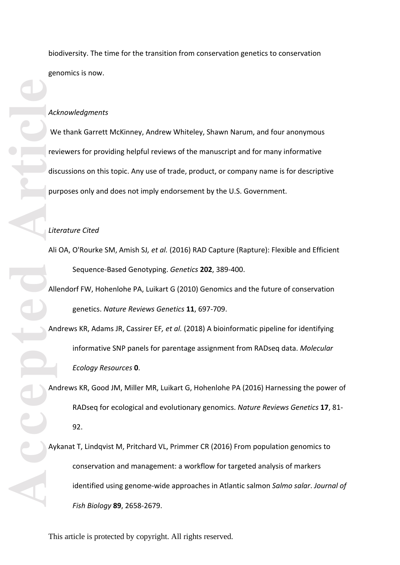biodiversity. The time for the transition from conservation genetics to conservation genomics is now.

#### *Acknowledgments*

We thank Garrett McKinney, Andrew Whiteley, Shawn Narum, and four anonymous reviewers for providing helpful reviews of the manuscript and for many informative discussions on this topic. Any use of trade, product, or company name is for descriptive purposes only and does not imply endorsement by the U.S. Government.

#### *Literature Cited*

Ali OA, O'Rourke SM, Amish SJ*, et al.* (2016) RAD Capture (Rapture): Flexible and Efficient Sequence -Based Genotyping. *Genetics* **202**, 389 -400.

Allendorf FW, Hohenlohe PA, Luikart G (2010) Genomics and the future of conservation genetics. *Nature Reviews Genetics* **11**, 697 -709.

Andrews KR, Adams JR, Cassirer EF*, et al.* (2018) A bioinformatic pipeline for identifying informative SNP panels for parentage assignment from RADseq data. *Molecular Ecology Resources* **0** .

Andrews KR, Good JM, Miller MR, Luikart G, Hohenlohe PA (2016) Harnessing the power of RADseq for ecological and evolutionary genomics. *Nature Reviews Genetics* **17**, 81 - 92.

**Accepted Accepted Article**<br> **Article**<br> **And**<br> **Article**<br> **And**<br> **Article** Aykanat T, Lindqvist M, Pritchard VL, Primmer CR (2016) From population genomics to conservation and management: a workflow for targeted analysis of markers identified using genome -wide approaches in Atlantic salmon *Salmo salar*. *Journal of Fish Biology* **89**, 2658 -2679.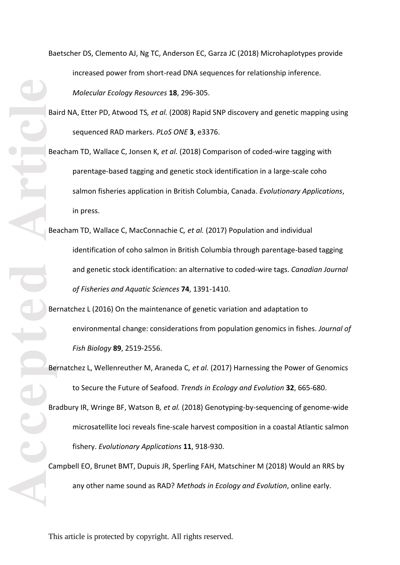Baetscher DS, Clemento AJ, Ng TC, Anderson EC, Garza JC (2018) Microhaplotypes provide increased power from short-read DNA sequences for relationship inference. *Molecular Ecology Resources* **18**, 296 -305.

Baird NA, Etter PD, Atwood TS*, et al.* (2008) Rapid SNP discovery and genetic mapping using sequenced RAD markers. *PLoS ONE* **3**, e3376.

Beacham TD, Wallace C, Jonsen K*, et al.* (2018) Comparison of coded -wire tagging with parentage -based tagging and genetic stock identification in a large -scale coho salmon fisheries application in British Columbia, Canada. *Evolutionary Applications*, in press.

**Accepted Article** Beacham TD, Wallace C, MacConnachie C*, et al.* (2017) Population and individual identification of coho salmon in British Columbia through parentage -based tagging and genetic stock identification: an alternative to coded -wire tags. *Canadian Journal of Fisheries and Aquatic Sciences* **74**, 1391 -1410.

Bernatchez L (2016) On the maintenance of genetic variation and adaptation to environmental change: considerations from population genomics in fishes. *Journal of Fish Biology* **89**, 2519 -2556.

Bernatchez L, Wellenreuther M, Araneda C*, et al.* (2017) Harnessing the Power of Genomics to Secure the Future of Seafood. *Trends in Ecology and Evolution* **32**, 665 -680.

Bradbury IR, Wringe BF, Watson B, et al. (2018) Genotyping-by-sequencing of genome-wide microsatellite loci reveals fine-scale harvest composition in a coastal Atlantic salmon fishery. *Evolutionary Applications* **11**, 918 -930.

Campbell EO, Brunet BMT, Dupuis JR, Sperling FAH, Matschiner M (2018) Would an RRS by any other name sound as RAD? *Methods in Ecology and Evolution*, online early.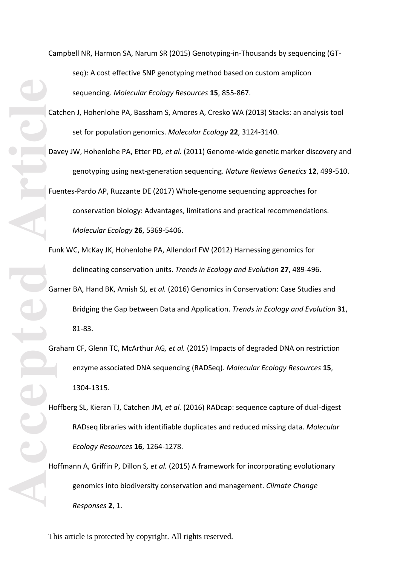Campbell NR, Harmon SA, Narum SR (2015) Genotyping -in -Thousands by sequencing (GT seq): A cost effective SNP genotyping method based on custom amplicon sequencing. *Molecular Ecology Resources* **15**, 855 -867.

- Catchen J, Hohenlohe PA, Bassham S, Amores A, Cresko WA (2013) Stacks: an analysis tool set for population genomics. *Molecular Ecology* **22**, 3124 -3140.
- Davey JW, Hohenlohe PA, Etter PD*, et al.* (2011) Genome -wide genetic marker discovery and genotyping using next-generation sequencing. Nature Reviews Genetics 12, 499-510. Fuentes -Pardo AP, Ruzzante DE (2017) Whole -genome sequencing approaches for conservation biology: Advantages, limitations and practical recommendations. *Molecular Ecology* **26**, 5369 -5406.
- Accepted **Article** Funk WC, McKay JK, Hohenlohe PA, Allendorf FW (2012) Harnessing genomics for delineating conservation units. *Trends in Ecology and Evolution* **27**, 489 -496. Garner BA, Hand BK, Amish SJ*, et al.* (2016) Genomics in Conservation: Case Studies and Bridging the Gap between Data and Application. *Trends in Ecology and Evolution* **31**,
	- 81 -83.
	- Graham CF, Glenn TC, McArthur AG*, et al.* (2015) Impacts of degraded DNA on restriction enzyme associated DNA sequencing (RADSeq). *Molecular Ecology Resources* **15**, 1304 -1315.
	- Hoffberg SL, Kieran TJ, Catchen JM, et al. (2016) RADcap: sequence capture of dual-digest RADseq libraries with identifiable duplicates and reduced missing data. *Molecular Ecology Resources* **16**, 1264 -1278.
	- Hoffmann A, Griffin P, Dillon S*, et al.* (2015) A framework for incorporating evolutionary genomics into biodiversity conservation and management. *Climate Change Responses* **2**, 1.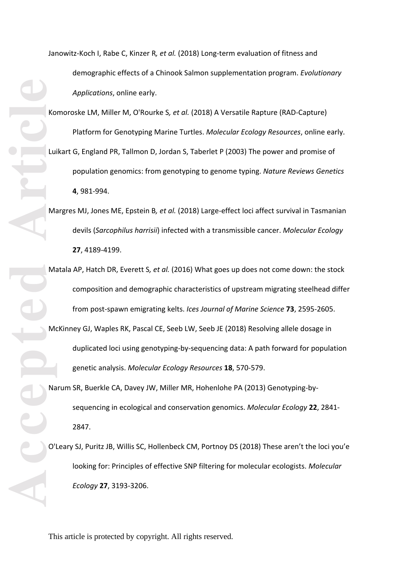Janowitz-Koch I, Rabe C, Kinzer R*, et al.* (2018) Long-term evaluation of fitness and demographic effects of a Chinook Salmon supplementation program. *Evolutionary Applications*, online early.

ACCEPTEDE Komoroske LM, Miller M, O'Rourke S*, et al.* (2018) A Versatile Rapture (RAD -Capture) Platform for Genotyping Marine Turtles. *Molecular Ecology Resources*, online early. Luikart G, England PR, Tallmon D, Jordan S, Taberlet P (2003) The power and promise of population genomics: from genotyping to genome typing. *Nature Reviews Genetics* **4**, 981-994.

- Margres MJ, Jones ME, Epstein B*, et al.* (2018) Large -effect loci affect survival in Tasmanian devils (*Sarcophilus harrisii*) infected with a transmissible cancer. *Molecular Ecology* **27**, 4189 -4199.
- Matala AP, Hatch DR, Everett S*, et al.* (2016) What goes up does not come down: the stock composition and demographic characteristics of upstream migrating steelhead differ from post -spawn emigrating kelts. *Ices Journal of Marine Science* **73**, 2595 -2605.
- McKinney GJ, Waples RK, Pascal CE, Seeb LW, Seeb JE (2018) Resolving allele dosage in duplicated loci using genotyping -by -sequencing data: A path forward for population genetic analysis. *Molecular Ecology Resources* **18**, 570 -579.
- Narum SR, Buerkle CA, Davey JW, Miller MR, Hohenlohe PA (2013) Genotyping -by sequencing in ecological and conservation genomics. *Molecular Ecology* **22**, 2841 - 2847.
- O'Leary SJ, Puritz JB, Willis SC, Hollenbeck CM, Portnoy DS (2018) These aren't the loci you'e looking for: Principles of effective SNP filtering for molecular ecologists. *Molecular Ecology* **27**, 3193 -3206.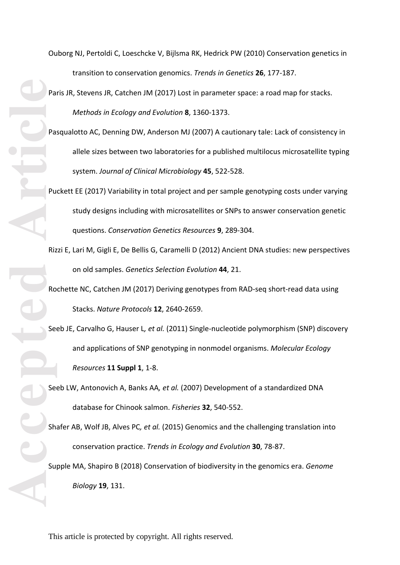**Article**<br> **Article**<br> **Article**<br> **Article**<br> **Article**<br> **Article**<br> **Article**<br> **Article**<br> **Article**<br> **Article**<br> **Article**<br> **Article**<br> **Article** 

Ouborg NJ, Pertoldi C, Loeschcke V, Bijlsma RK, Hedrick PW (2010) Conservation genetics in transition to conservation genomics. *Trends in Genetics* **26**, 177 -187.

Paris JR, Stevens JR, Catchen JM (2017) Lost in parameter space: a road map for stacks. *Methods in Ecology and Evolution* **8**, 1360 -1373.

- Pasqualotto AC, Denning DW, Anderson MJ (2007) A cautionary tale: Lack of consistency in allele sizes between two laboratories for a published multilocus microsatellite typing system. *Journal of Clinical Microbiology* **45**, 522 -528.
- Puckett EE (2017) Variability in total project and per sample genotyping costs under varying study designs including with microsatellites or SNPs to answer conservation genetic questions. *Conservation Genetics Resources* **9**, 289 -304.
- Rizzi E, Lari M, Gigli E, De Bellis G, Caramelli D (2012) Ancient DNA studies: new perspectives on old samples. *Genetics Selection Evolution* **44**, 21.
- Rochette NC, Catchen JM (2017) Deriving genotypes from RAD -seq short -read data using Stacks. *Nature Protocols* **12**, 2640 -2659.

Seeb JE, Carvalho G, Hauser L*, et al.* (2011) Single -nucleotide polymorphism (SNP) discovery and applications of SNP genotyping in nonmodel organisms. *Molecular Ecology Resources* **11 Suppl 1**, 1 -8.

Seeb LW, Antonovich A, Banks AA*, et al.* (2007) Development of a standardized DNA database for Chinook salmon. *Fisheries* **32**, 540 -552.

Shafer AB, Wolf JB, Alves PC*, et al.* (2015) Genomics and the challenging translation into conservation practice. *Trends in Ecology and Evolution* **30**, 78 -87.

Supple MA, Shapiro B (2018) Conservation of biodiversity in the genomics era. *Genome Biology* **19**, 131.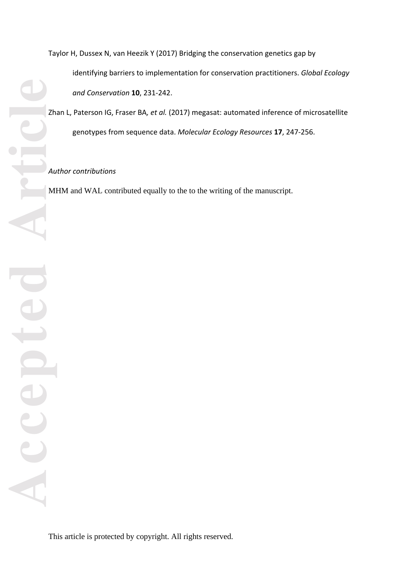Zhan L, Paterson IG, Fraser BA*, et al.* (2017) megasat: automated inference of microsatellite genotypes from sequence data. *Molecular Ecology Resources* **17**, 247 -256.

# *Author contributions*

MHM and WAL contributed equally to the to the writing of the manuscript.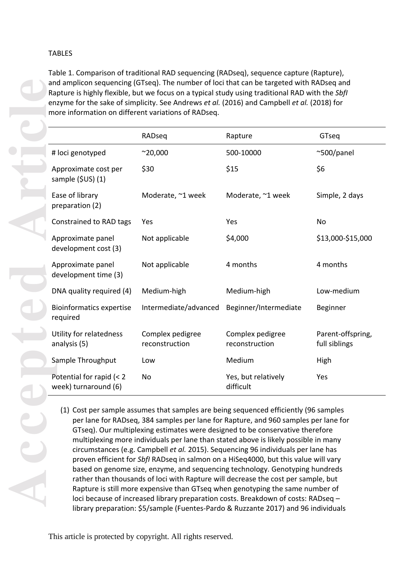# TABLES

Table 1. Comparison of traditional RAD sequencing (RADseq), sequence capture (Rapture ), and amplicon sequencing (GTseq ). The number of loci that can be targeted with RADseq and Rapture is highly flexible, but we focus on a typical study using traditional RAD with the *SbfI* enzyme for the sake of simplicity. See Andrews *et al.* (2016) and Campbell *et al.* (2018) for more information on different variations of RADseq.

|                                                  | RADseq                             | Rapture                            | GTseq                              |
|--------------------------------------------------|------------------------------------|------------------------------------|------------------------------------|
| # loci genotyped                                 | $^{\sim}20,000$                    | 500-10000                          | $^{\sim}500$ /panel                |
| Approximate cost per<br>sample (\$US) (1)        | \$30                               | \$15                               | \$6                                |
| Ease of library<br>preparation (2)               | Moderate, ~1 week                  | Moderate, ~1 week                  | Simple, 2 days                     |
| Constrained to RAD tags                          | Yes                                | Yes                                | <b>No</b>                          |
| Approximate panel<br>development cost (3)        | Not applicable                     | \$4,000                            | \$13,000-\$15,000                  |
| Approximate panel<br>development time (3)        | Not applicable                     | 4 months                           | 4 months                           |
| DNA quality required (4)                         | Medium-high                        | Medium-high                        | Low-medium                         |
| <b>Bioinformatics expertise</b><br>required      | Intermediate/advanced              | Beginner/Intermediate              | Beginner                           |
| Utility for relatedness<br>analysis (5)          | Complex pedigree<br>reconstruction | Complex pedigree<br>reconstruction | Parent-offspring,<br>full siblings |
| Sample Throughput                                | Low                                | Medium                             | High                               |
| Potential for rapid (< 2<br>week) turnaround (6) | N <sub>o</sub>                     | Yes, but relatively<br>difficult   | Yes                                |

(1) Cost per sample assumes that samples are being sequenced efficiently (96 samples per lane for RADseq, 384 samples per lane for Rapture, and 960 samples per lane for GTseq). Our multiplexing estimates were designed to be conservative therefore multiplexing more individuals per lane than stated above is likely possible in many circumstances (e.g. Campbell *et al.* 2015) . Sequencing 96 individuals per lane has proven efficient for *SbfI* RADseq in salmon on a HiSeq4000, but t his value will vary based on genome size, enzyme, and sequencing technology. Genotyping hundreds rather than thousands of loci with Rapture will decrease the cost per sample, but Rapture is still more expensive than GTseq when genotyping the same number of loci because of increased library preparation costs. Breakdown of costs: RADseq – library preparation: \$5/sample (Fuentes -Pardo & Ruzzante 2017) and 96 individuals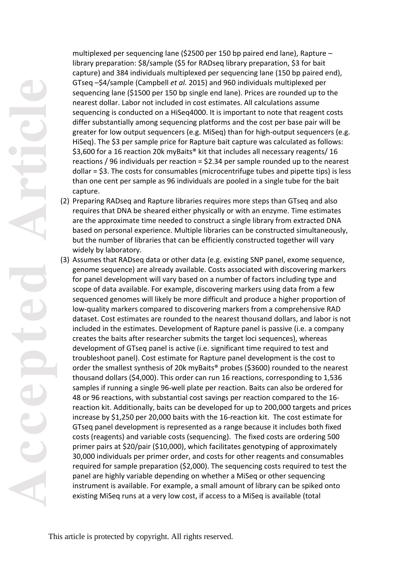multiplexed per sequencing lane (\$2500 per 150 bp paired end lane), Rapture – library preparation: \$ 8/sample (\$5 for RADseq library preparation, \$ 3 for bait capture) and 384 individuals multiplexed per sequencing lane (150 bp paired end ), GTseq – \$ 4/sample (Campbell *et al.* 2015) and 960 individuals multiplexed per sequencing lane (\$1500 per 150 bp single end lane). Prices are rounded up to the nearest dollar. Labor not included in cost estimates. All calculations assume sequencing is conducted on a HiSeq4000. It is important to note that reagent costs differ substantially among sequencing platforms and the cost per base pair will be greater for low output sequencers (e.g. MiSeq) than for high -output sequencers (e.g. HiSeq) . The \$3 per sample price for Rapture bait capture was calculated as follows: \$3,600 for a 16 reaction 20k myBaits® kit that includes all necessary reagents/16 reactions / 96 individuals per reaction =  $$2.34$  per sample rounded up to the nearest dollar = \$3. The costs for consumables (microcentrifuge tubes and pipette tips) is less than one cent per sample as 96 individuals are pooled in a single tube for the bait capture.

- (2) Preparing RADseq and Rapture libraries requires more steps than GTseq and also requires that DNA be sheared either physically or with an enzyme. Time estimates are the approximate time needed to construct a single library from extracted DNA based on personal experience. Multiple libraries can be constructed simultaneously, but the number of libraries that can be efficiently constructed together will vary widely by laboratory.
- (3) Assumes that RADseq data or other data (e.g. existing SNP panel, exome sequence, genome sequence) are already available. Costs associated with discovering markers for panel development will vary based on a number of factors including type and scope of data available. For example, discovering markers using data from a few sequenced genomes will likely be more difficult and produce a higher proportion of low -quality markers compared to discovering markers from a comprehensive RAD dataset. Cost estimates are rounded to the nearest thousand dollars, and labor is not included in the estimates. Development of Rapture panel is passive (i.e. a company creates the baits after researcher submits the target loci sequences), whereas development of GTseq panel is active (i.e. significant time required to test and troubleshoot panel). Cost estimate for Rapture panel development is the cost to order the smallest synthesis of 20k myBaits® probes (\$3600) rounded to the nearest thousand dollars (\$4,000) . This order can run 16 reactions, corresponding to 1,536 samples if running a single 96 -well plate per reaction . Baits can also be ordered for 48 or 96 reactions, with substantial cost savings per reaction compared to the 16 reaction kit. Additionally, baits can be developed for up to 200,000 targets and prices increase by \$1,250 per 20,000 baits with the 16 -reaction kit . The cost estimate for GTseq panel development is represented as a range because it includes both fixed costs (reagents) and variable costs (sequencing). The fixed costs are ordering 500 primer pairs at \$20/pair (\$10,000), which facilitates genotyping of approximately 30,000 individuals per primer order , and costs for other reagents and consumables required for sample preparation (\$2,000). The sequencing costs required to test the panel are highly variable depending on whether a Mi Seq or other sequencing instrument is available. For example, a small amount of library can be spiked onto existing MiSeq runs at a very low cost, if access to a MiSeq is available (total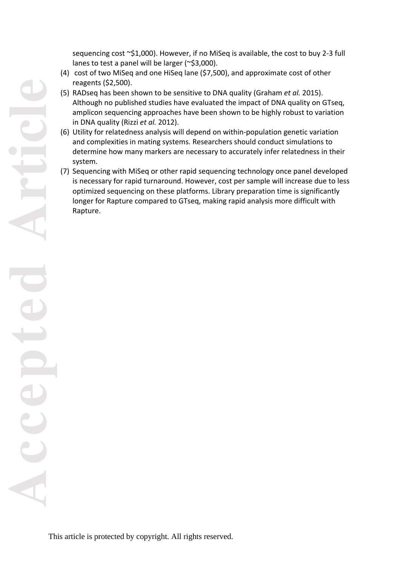sequencing cost ~\$1,000). However, if no MiSeq is available, the cost to buy 2 -3 full lanes to test a panel will be larger (~\$3,000).

- (4) cost of two MiSeq and one HiSeq lane (\$7,500), and approximate cost of other reagents (\$2,500).
- (5) RADseq has been shown to be sensitive to DNA quality (Graham *et al.* 2015). Although no published studies have evaluated the impact of DNA quality on GTseq, amplicon sequencing approaches have been shown to be highly robust to variation in DNA quality (Rizzi *et al.* 2012) .
- (6) Utility for relatedness analysis will depend on within -population genetic variation and complexities in mating systems. Researchers should conduct simulations to determine how many markers are necessary to accurately infer relatedness in their system.
- (7) Sequencing with MiSeq or other rapid sequencing technology once panel developed is necessary for rapid turnaround. However, cost per sample will increase due to less optimized sequencing on these platforms . Library preparation time is significantly longer for Rapture compared to GTseq, making rapid analysis more difficult with Rapture.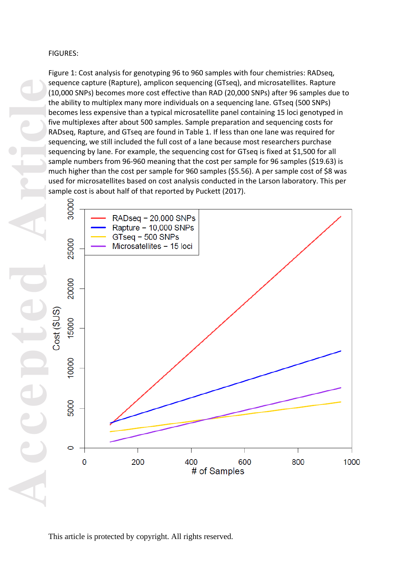# FIGURES:

Figure 1: Cost analysis for genotyping 96 to 960 samples with four chemistries: RADseq, sequence capture (Rapture), amplicon sequencing (GTseq), and microsatellites. Rapture (10,000 SNPs) becomes more cost effective than RAD (20,000 SNPs) after 96 samples due to the ability to multiplex many more individuals on a sequencing lane. GTseq ( 500 SNPs) becomes less expensive than a typical microsatellite panel containing 15 loci genotyped in five multiplexes after about 500 samples. Sample preparation and sequencing costs for RADseq, Rapture, and GTseq are found in Table 1. If less than one lane was required for sequencing, we still included the full cost of a lane because most researchers purchase sequencing by lane. For example, the sequencing cost for GTseq is fixed at \$1,500 for all sample numbers from 96 -960 meaning that the cost per sample for 96 samples (\$19.63) is much higher than the cost per sample for 960 samples (\$5.56). A per sample cost of \$8 was used for microsatellites based on cost analysis conducted in the Larson laboratory. This per sample cost is about half of that reported by Puckett (2017) .